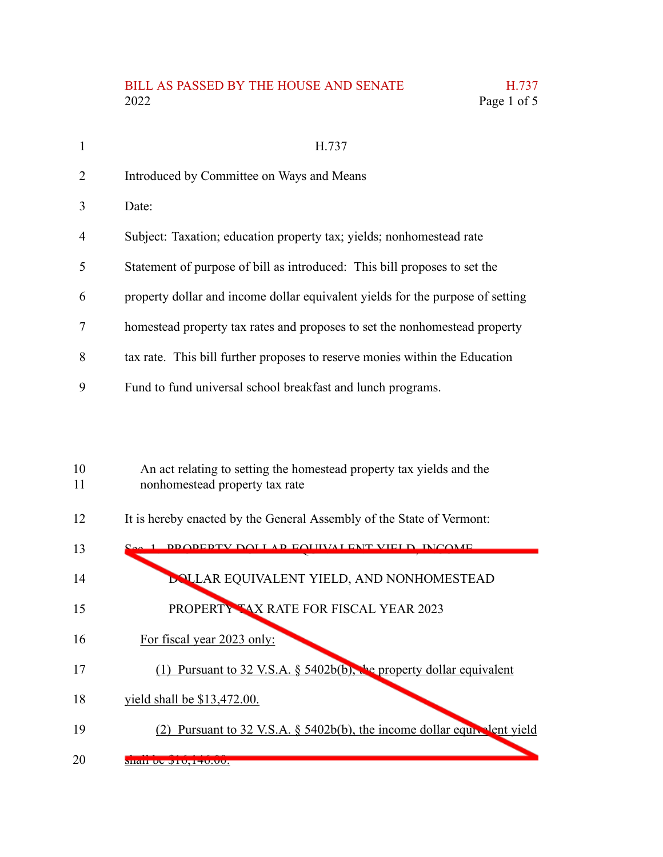## BILL AS PASSED BY THE HOUSE AND SENATE H.737<br>2022 Page 1 of 5 Page 1 of 5

| 1              | H.737                                                                          |
|----------------|--------------------------------------------------------------------------------|
| $\overline{2}$ | Introduced by Committee on Ways and Means                                      |
| 3              | Date:                                                                          |
| $\overline{4}$ | Subject: Taxation; education property tax; yields; nonhomestead rate           |
| 5              | Statement of purpose of bill as introduced: This bill proposes to set the      |
| 6              | property dollar and income dollar equivalent yields for the purpose of setting |
| 7              | homestead property tax rates and proposes to set the nonhomestead property     |
| 8              | tax rate. This bill further proposes to reserve monies within the Education    |
| 9              | Fund to fund universal school breakfast and lunch programs.                    |
|                |                                                                                |
|                |                                                                                |
| 10             | An act relating to setting the homestead property tax yields and the           |
| 11             | nonhomestead property tax rate                                                 |

It is hereby enacted by the General Assembly of the State of Vermont: 12

| 13 | <b>DDODEDTV DOLLAD EQUIVALENT VIELD INCOME</b>                                                                                                            |
|----|-----------------------------------------------------------------------------------------------------------------------------------------------------------|
| 14 | <b>DOLLAR EQUIVALENT YIELD, AND NONHOMESTEAD</b>                                                                                                          |
| 15 | PROPERTY TAX RATE FOR FISCAL YEAR 2023                                                                                                                    |
| 16 | For fiscal year 2023 only:                                                                                                                                |
| 17 | Pursuant to 32 V.S.A. § 5402b(b), the property dollar equivalent                                                                                          |
| 18 | yield shall be \$13,472.00.                                                                                                                               |
| 19 | Pursuant to 32 V.S.A. § 5402b(b), the income dollar equivalent yield                                                                                      |
| 20 | $\frac{1}{2}$ $\frac{1}{2}$ $\frac{1}{2}$ $\frac{1}{2}$ $\frac{1}{2}$ $\frac{1}{2}$ $\frac{1}{2}$ $\frac{1}{2}$ $\frac{1}{2}$ $\frac{1}{2}$ $\frac{1}{2}$ |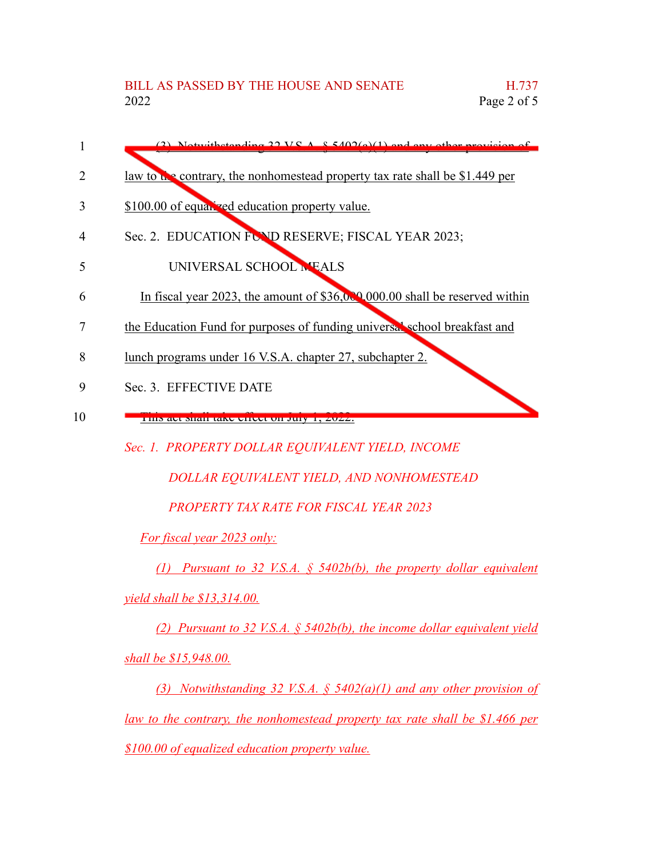- (3) Notwithstanding 32 V.S.A.  $\&$  5402(a)(1) and any other provision of 1
- law to the contrary, the nonhomestead property tax rate shall be \$1.449 per 2
- \$100.00 of equalized education property value. 3
- Sec. 2. EDUCATION FUND RESERVE; FISCAL YEAR 2023; 4
- UNIVERSAL SCHOOL MEALS 5
- In fiscal year 2023, the amount of \$36,000,000.00 shall be reserved within 6
- the Education Fund for purposes of funding universal school breakfast and 7
- lunch programs under 16 V.S.A. chapter 27, subchapter 2. 8
- Sec. 3. EFFECTIVE DATE 9
- This act shall take effect on July 1, 2022. 10
	- *Sec. 1. PROPERTY DOLLAR EQUIVALENT YIELD, INCOME*

*DOLLAR EQUIVALENT YIELD, AND NONHOMESTEAD*

*PROPERTY TAX RATE FOR FISCAL YEAR 2023*

*For fiscal year 2023 only:*

*(1) Pursuant to 32 V.S.A. § 5402b(b), the property dollar equivalent*

*yield shall be \$13,314.00.*

*(2) Pursuant to 32 V.S.A. § 5402b(b), the income dollar equivalent yield shall be \$15,948.00.*

*(3) Notwithstanding 32 V.S.A. § 5402(a)(1) and any other provision of law to the contrary, the nonhomestead property tax rate shall be \$1.466 per \$100.00 of equalized education property value.*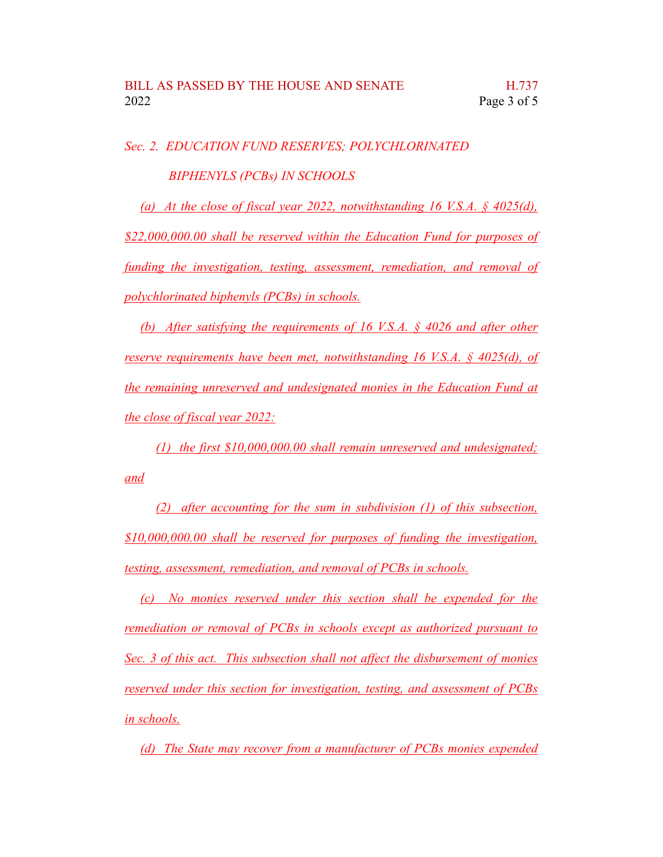*Sec. 2. EDUCATION FUND RESERVES; POLYCHLORINATED BIPHENYLS (PCBs) IN SCHOOLS*

*(a) At the close of fiscal year 2022, notwithstanding 16 V.S.A. § 4025(d), \$22,000,000.00 shall be reserved within the Education Fund for purposes of funding the investigation, testing, assessment, remediation, and removal of polychlorinated biphenyls (PCBs) in schools.*

*(b) After satisfying the requirements of 16 V.S.A. § 4026 and after other reserve requirements have been met, notwithstanding 16 V.S.A. § 4025(d), of the remaining unreserved and undesignated monies in the Education Fund at the close of fiscal year 2022:*

*(1) the first \$10,000,000.00 shall remain unreserved and undesignated; and*

*(2) after accounting for the sum in subdivision (1) of this subsection, \$10,000,000.00 shall be reserved for purposes of funding the investigation, testing, assessment, remediation, and removal of PCBs in schools.*

*(c) No monies reserved under this section shall be expended for the remediation or removal of PCBs in schools except as authorized pursuant to Sec. 3 of this act. This subsection shall not affect the disbursement of monies reserved under this section for investigation, testing, and assessment of PCBs in schools.*

*(d) The State may recover from a manufacturer of PCBs monies expended*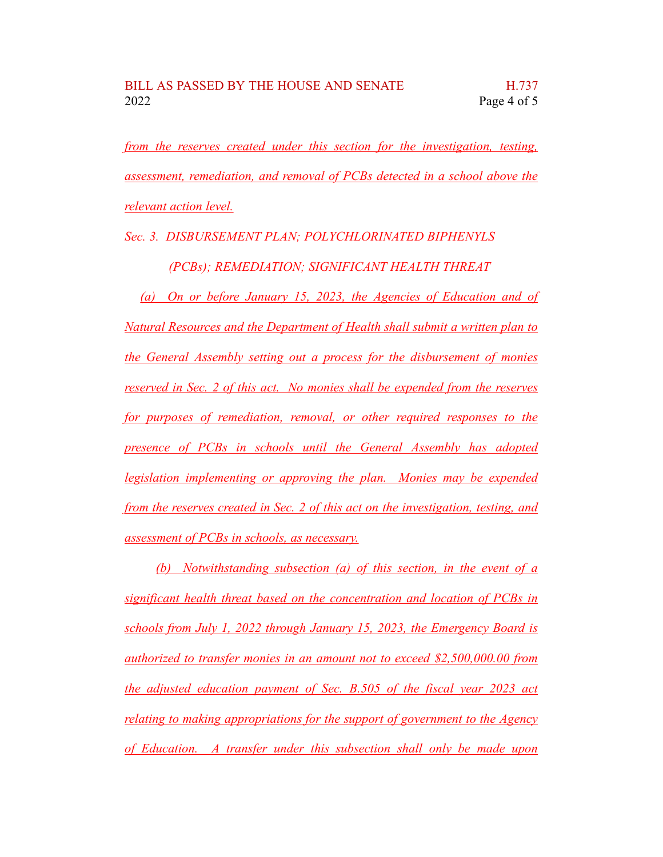*from the reserves created under this section for the investigation, testing, assessment, remediation, and removal of PCBs detected in a school above the relevant action level.*

*Sec. 3. DISBURSEMENT PLAN; POLYCHLORINATED BIPHENYLS (PCBs); REMEDIATION; SIGNIFICANT HEALTH THREAT*

*(a) On or before January 15, 2023, the Agencies of Education and of Natural Resources and the Department of Health shall submit a written plan to the General Assembly setting out a process for the disbursement of monies reserved in Sec. 2 of this act. No monies shall be expended from the reserves for purposes of remediation, removal, or other required responses to the presence of PCBs in schools until the General Assembly has adopted legislation implementing or approving the plan. Monies may be expended from the reserves created in Sec. 2 of this act on the investigation, testing, and assessment of PCBs in schools, as necessary.*

*(b) Notwithstanding subsection (a) of this section, in the event of a significant health threat based on the concentration and location of PCBs in schools from July 1, 2022 through January 15, 2023, the Emergency Board is authorized to transfer monies in an amount not to exceed \$2,500,000.00 from the adjusted education payment of Sec. B.505 of the fiscal year 2023 act relating to making appropriations for the support of government to the Agency of Education. A transfer under this subsection shall only be made upon*